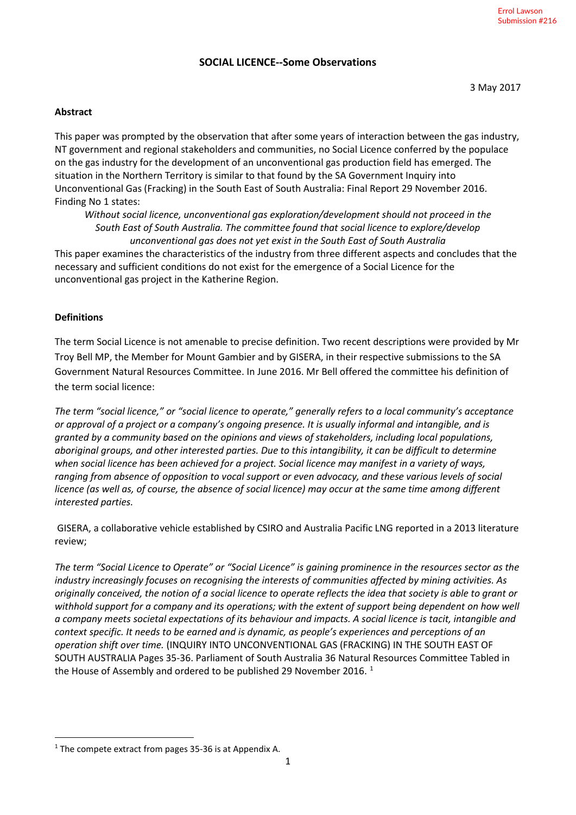## **SOCIAL LICENCE--Some Observations**

#### **Abstract**

This paper was prompted by the observation that after some years of interaction between the gas industry, NT government and regional stakeholders and communities, no Social Licence conferred by the populace on the gas industry for the development of an unconventional gas production field has emerged. The situation in the Northern Territory is similar to that found by the SA Government Inquiry into Unconventional Gas (Fracking) in the South East of South Australia: Final Report 29 November 2016. Finding No 1 states:

*Without social licence, unconventional gas exploration/development should not proceed in the South East of South Australia. The committee found that social licence to explore/develop unconventional gas does not yet exist in the South East of South Australia*

This paper examines the characteristics of the industry from three different aspects and concludes that the necessary and sufficient conditions do not exist for the emergence of a Social Licence for the unconventional gas project in the Katherine Region.

#### **Definitions**

The term Social Licence is not amenable to precise definition. Two recent descriptions were provided by Mr Troy Bell MP, the Member for Mount Gambier and by GISERA, in their respective submissions to the SA Government Natural Resources Committee. In June 2016. Mr Bell offered the committee his definition of the term social licence:

*The term "social licence," or "social licence to operate," generally refers to a local community's acceptance or approval of a project or a company's ongoing presence. It is usually informal and intangible, and is granted by a community based on the opinions and views of stakeholders, including local populations, aboriginal groups, and other interested parties. Due to this intangibility, it can be difficult to determine when social licence has been achieved for a project. Social licence may manifest in a variety of ways, ranging from absence of opposition to vocal support or even advocacy, and these various levels of social licence (as well as, of course, the absence of social licence) may occur at the same time among different interested parties.*

GISERA, a collaborative vehicle established by CSIRO and Australia Pacific LNG reported in a 2013 literature review;

*The term "Social Licence to Operate" or "Social Licence" is gaining prominence in the resources sector as the industry increasingly focuses on recognising the interests of communities affected by mining activities. As originally conceived, the notion of a social licence to operate reflects the idea that society is able to grant or withhold support for a company and its operations; with the extent of support being dependent on how well a company meets societal expectations of its behaviour and impacts. A social licence is tacit, intangible and context specific. It needs to be earned and is dynamic, as people's experiences and perceptions of an operation shift over time.* (INQUIRY INTO UNCONVENTIONAL GAS (FRACKING) IN THE SOUTH EAST OF SOUTH AUSTRALIA Pages 35-36. Parliament of South Australia 36 Natural Resources Committee Tabled in the House of Assembly and ordered to be published 29 November 20[1](#page-0-0)6.<sup>1</sup>

<span id="page-0-0"></span> $1$  The compete extract from pages 35-36 is at Appendix A.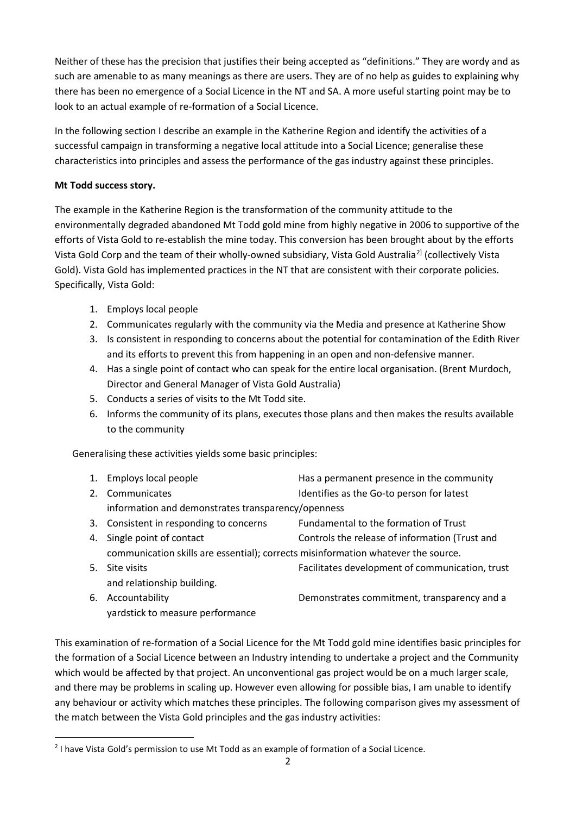Neither of these has the precision that justifies their being accepted as "definitions." They are wordy and as such are amenable to as many meanings as there are users. They are of no help as guides to explaining why there has been no emergence of a Social Licence in the NT and SA. A more useful starting point may be to look to an actual example of re-formation of a Social Licence.

In the following section I describe an example in the Katherine Region and identify the activities of a successful campaign in transforming a negative local attitude into a Social Licence; generalise these characteristics into principles and assess the performance of the gas industry against these principles.

## **Mt Todd success story.**

The example in the Katherine Region is the transformation of the community attitude to the environmentally degraded abandoned Mt Todd gold mine from highly negative in 2006 to supportive of the efforts of Vista Gold to re-establish the mine today. This conversion has been brought about by the efforts Vista Gold Corp and the team of their wholly-owned subsidiary, Vista Gold Australia[2](#page-1-0)] (collectively Vista Gold). Vista Gold has implemented practices in the NT that are consistent with their corporate policies. Specifically, Vista Gold:

- 1. Employs local people
- 2. Communicates regularly with the community via the Media and presence at Katherine Show
- 3. Is consistent in responding to concerns about the potential for contamination of the Edith River and its efforts to prevent this from happening in an open and non-defensive manner.
- 4. Has a single point of contact who can speak for the entire local organisation. (Brent Murdoch, Director and General Manager of Vista Gold Australia)
- 5. Conducts a series of visits to the Mt Todd site.
- 6. Informs the community of its plans, executes those plans and then makes the results available to the community

Generalising these activities yields some basic principles:

- 1. Employs local people Has a permanent presence in the community 2. Communicates The Internal Communicates in the Identifies as the Go-to person for latest information and demonstrates transparency/openness
- 3. Consistent in responding to concerns Fundamental to the formation of Trust 4. Single point of contact Controls the release of information (Trust and communication skills are essential); corrects misinformation whatever the source.
- 5. Site visits Facilitates development of communication, trust and relationship building.
- 6. Accountability Demonstrates commitment, transparency and a yardstick to measure performance

This examination of re-formation of a Social Licence for the Mt Todd gold mine identifies basic principles for the formation of a Social Licence between an Industry intending to undertake a project and the Community which would be affected by that project. An unconventional gas project would be on a much larger scale, and there may be problems in scaling up. However even allowing for possible bias, I am unable to identify any behaviour or activity which matches these principles. The following comparison gives my assessment of the match between the Vista Gold principles and the gas industry activities:

<span id="page-1-0"></span> <sup>2</sup> I have Vista Gold's permission to use Mt Todd as an example of formation of a Social Licence.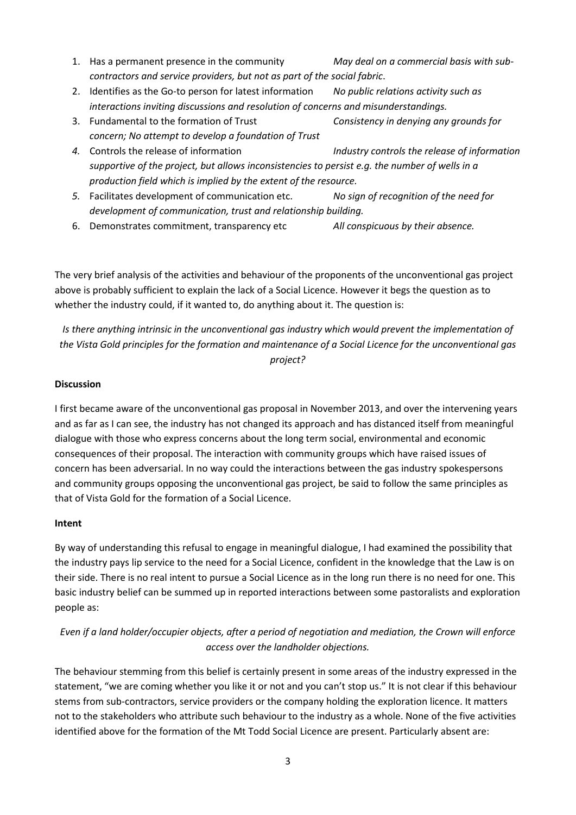- 1. Has a permanent presence in the community *May deal on a commercial basis with subcontractors and service providers, but not as part of the social fabric*.
- 2. Identifies as the Go-to person for latest information *No public relations activity such as interactions inviting discussions and resolution of concerns and misunderstandings.*
- 3. Fundamental to the formation of Trust *Consistency in denying any grounds for concern; No attempt to develop a foundation of Trust*
- *4.* Controls the release of information *Industry controls the release of information supportive of the project, but allows inconsistencies to persist e.g. the number of wells in a production field which is implied by the extent of the resource.*
- *5.* Facilitates development of communication etc. *No sign of recognition of the need for development of communication, trust and relationship building.*
- 6. Demonstrates commitment, transparency etc *All conspicuous by their absence.*

The very brief analysis of the activities and behaviour of the proponents of the unconventional gas project above is probably sufficient to explain the lack of a Social Licence. However it begs the question as to whether the industry could, if it wanted to, do anything about it. The question is:

*Is there anything intrinsic in the unconventional gas industry which would prevent the implementation of the Vista Gold principles for the formation and maintenance of a Social Licence for the unconventional gas project?*

#### **Discussion**

I first became aware of the unconventional gas proposal in November 2013, and over the intervening years and as far as I can see, the industry has not changed its approach and has distanced itself from meaningful dialogue with those who express concerns about the long term social, environmental and economic consequences of their proposal. The interaction with community groups which have raised issues of concern has been adversarial. In no way could the interactions between the gas industry spokespersons and community groups opposing the unconventional gas project, be said to follow the same principles as that of Vista Gold for the formation of a Social Licence.

#### **Intent**

By way of understanding this refusal to engage in meaningful dialogue, I had examined the possibility that the industry pays lip service to the need for a Social Licence, confident in the knowledge that the Law is on their side. There is no real intent to pursue a Social Licence as in the long run there is no need for one. This basic industry belief can be summed up in reported interactions between some pastoralists and exploration people as:

# *Even if a land holder/occupier objects, after a period of negotiation and mediation, the Crown will enforce access over the landholder objections.*

The behaviour stemming from this belief is certainly present in some areas of the industry expressed in the statement, "we are coming whether you like it or not and you can't stop us." It is not clear if this behaviour stems from sub-contractors, service providers or the company holding the exploration licence. It matters not to the stakeholders who attribute such behaviour to the industry as a whole. None of the five activities identified above for the formation of the Mt Todd Social Licence are present. Particularly absent are: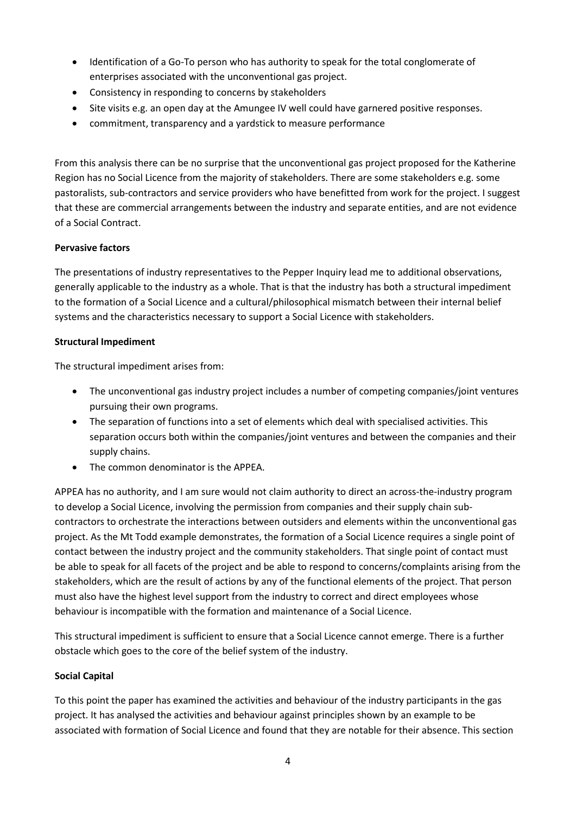- Identification of a Go-To person who has authority to speak for the total conglomerate of enterprises associated with the unconventional gas project.
- Consistency in responding to concerns by stakeholders
- Site visits e.g. an open day at the Amungee IV well could have garnered positive responses.
- commitment, transparency and a yardstick to measure performance

From this analysis there can be no surprise that the unconventional gas project proposed for the Katherine Region has no Social Licence from the majority of stakeholders. There are some stakeholders e.g. some pastoralists, sub-contractors and service providers who have benefitted from work for the project. I suggest that these are commercial arrangements between the industry and separate entities, and are not evidence of a Social Contract.

## **Pervasive factors**

The presentations of industry representatives to the Pepper Inquiry lead me to additional observations, generally applicable to the industry as a whole. That is that the industry has both a structural impediment to the formation of a Social Licence and a cultural/philosophical mismatch between their internal belief systems and the characteristics necessary to support a Social Licence with stakeholders.

## **Structural Impediment**

The structural impediment arises from:

- The unconventional gas industry project includes a number of competing companies/joint ventures pursuing their own programs.
- The separation of functions into a set of elements which deal with specialised activities. This separation occurs both within the companies/joint ventures and between the companies and their supply chains.
- The common denominator is the APPEA.

APPEA has no authority, and I am sure would not claim authority to direct an across-the-industry program to develop a Social Licence, involving the permission from companies and their supply chain subcontractors to orchestrate the interactions between outsiders and elements within the unconventional gas project. As the Mt Todd example demonstrates, the formation of a Social Licence requires a single point of contact between the industry project and the community stakeholders. That single point of contact must be able to speak for all facets of the project and be able to respond to concerns/complaints arising from the stakeholders, which are the result of actions by any of the functional elements of the project. That person must also have the highest level support from the industry to correct and direct employees whose behaviour is incompatible with the formation and maintenance of a Social Licence.

This structural impediment is sufficient to ensure that a Social Licence cannot emerge. There is a further obstacle which goes to the core of the belief system of the industry.

# **Social Capital**

To this point the paper has examined the activities and behaviour of the industry participants in the gas project. It has analysed the activities and behaviour against principles shown by an example to be associated with formation of Social Licence and found that they are notable for their absence. This section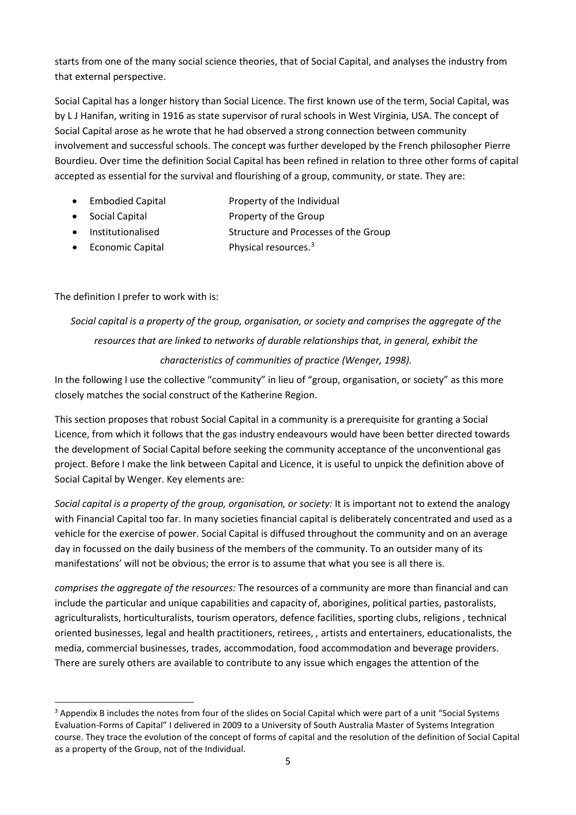starts from one of the many social science theories, that of Social Capital, and analyses the industry from that external perspective.

Social Capital has a longer history than Social Licence. The first known use of the term, Social Capital, was by L J Hanifan, writing in 1916 as state supervisor of rural schools in West Virginia, USA. The concept of Social Capital arose as he wrote that he had observed a strong connection between community involvement and successful schools. The concept was further developed by the French philosopher Pierre Bourdieu. Over time the definition Social Capital has been refined in relation to three other forms of capital accepted as essential for the survival and flourishing of a group, community, or state. They are:

- Embodied Capital Property of the Individual
- Social Capital **Property of the Group**
- Institutionalised Structure and Processes of the Group
- Economic Capital Physical resources.<sup>[3](#page-4-0)</sup>

# The definition I prefer to work with is:

# *Social capital is a property of the group, organisation, or society and comprises the aggregate of the resources that are linked to networks of durable relationships that, in general, exhibit the characteristics of communities of practice (Wenger, 1998).*

In the following I use the collective "community" in lieu of "group, organisation, or society" as this more closely matches the social construct of the Katherine Region.

This section proposes that robust Social Capital in a community is a prerequisite for granting a Social Licence, from which it follows that the gas industry endeavours would have been better directed towards the development of Social Capital before seeking the community acceptance of the unconventional gas project. Before I make the link between Capital and Licence, it is useful to unpick the definition above of Social Capital by Wenger. Key elements are:

*Social capital is a property of the group, organisation, or society:* It is important not to extend the analogy with Financial Capital too far. In many societies financial capital is deliberately concentrated and used as a vehicle for the exercise of power. Social Capital is diffused throughout the community and on an average day in focussed on the daily business of the members of the community. To an outsider many of its manifestations' will not be obvious; the error is to assume that what you see is all there is.

*comprises the aggregate of the resources:* The resources of a community are more than financial and can include the particular and unique capabilities and capacity of, aborigines, political parties, pastoralists, agriculturalists, horticulturalists, tourism operators, defence facilities, sporting clubs, religions , technical oriented businesses, legal and health practitioners, retirees, *,* artists and entertainers, educationalists, the media, commercial businesses, trades, accommodation, food accommodation and beverage providers. There are surely others are available to contribute to any issue which engages the attention of the

<span id="page-4-0"></span><sup>&</sup>lt;sup>3</sup> Appendix B includes the notes from four of the slides on Social Capital which were part of a unit "Social Systems Evaluation-Forms of Capital" I delivered in 2009 to a University of South Australia Master of Systems Integration course. They trace the evolution of the concept of forms of capital and the resolution of the definition of Social Capital as a property of the Group, not of the Individual.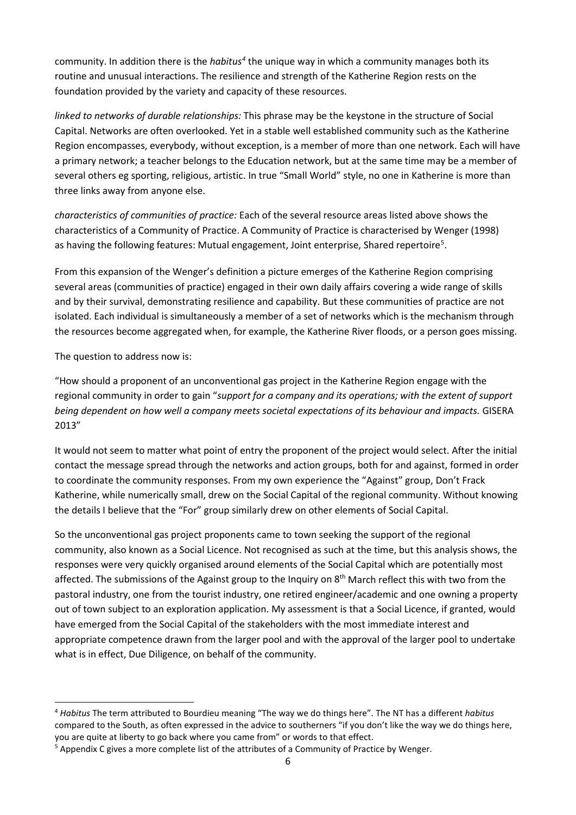community. In addition there is the *habitu[s4](#page-5-0)* the unique way in which a community manages both its routine and unusual interactions. The resilience and strength of the Katherine Region rests on the foundation provided by the variety and capacity of these resources.

*linked to networks of durable relationships:* This phrase may be the keystone in the structure of Social Capital. Networks are often overlooked. Yet in a stable well established community such as the Katherine Region encompasses, everybody, without exception, is a member of more than one network. Each will have a primary network; a teacher belongs to the Education network, but at the same time may be a member of several others eg sporting, religious, artistic. In true "Small World" style, no one in Katherine is more than three links away from anyone else.

*characteristics of communities of practice:* Each of the several resource areas listed above shows the characteristics of a Community of Practice. A Community of Practice is characterised by Wenger (1998) as having the following features: Mutual engagement, Joint enterprise, Shared repertoire<sup>[5](#page-5-1)</sup>.

From this expansion of the Wenger's definition a picture emerges of the Katherine Region comprising several areas (communities of practice) engaged in their own daily affairs covering a wide range of skills and by their survival, demonstrating resilience and capability. But these communities of practice are not isolated. Each individual is simultaneously a member of a set of networks which is the mechanism through the resources become aggregated when, for example, the Katherine River floods, or a person goes missing.

The question to address now is:

"How should a proponent of an unconventional gas project in the Katherine Region engage with the regional community in order to gain "*support for a company and its operations; with the extent of support being dependent on how well a company meets societal expectations of its behaviour and impacts.* GISERA 2013"

It would not seem to matter what point of entry the proponent of the project would select. After the initial contact the message spread through the networks and action groups, both for and against, formed in order to coordinate the community responses. From my own experience the "Against" group, Don't Frack Katherine, while numerically small, drew on the Social Capital of the regional community. Without knowing the details I believe that the "For" group similarly drew on other elements of Social Capital.

So the unconventional gas project proponents came to town seeking the support of the regional community, also known as a Social Licence. Not recognised as such at the time, but this analysis shows, the responses were very quickly organised around elements of the Social Capital which are potentially most affected. The submissions of the Against group to the Inquiry on 8<sup>th</sup> March reflect this with two from the pastoral industry, one from the tourist industry, one retired engineer/academic and one owning a property out of town subject to an exploration application. My assessment is that a Social Licence, if granted, would have emerged from the Social Capital of the stakeholders with the most immediate interest and appropriate competence drawn from the larger pool and with the approval of the larger pool to undertake what is in effect, Due Diligence, on behalf of the community.

<span id="page-5-0"></span> <sup>4</sup> *Habitus* The term attributed to Bourdieu meaning "The way we do things here". The NT has a different *habitus*  compared to the South, as often expressed in the advice to southerners "if you don't like the way we do things here, you are quite at liberty to go back where you came from" or words to that effect.

<span id="page-5-1"></span><sup>&</sup>lt;sup>5</sup> Appendix C gives a more complete list of the attributes of a Community of Practice by Wenger.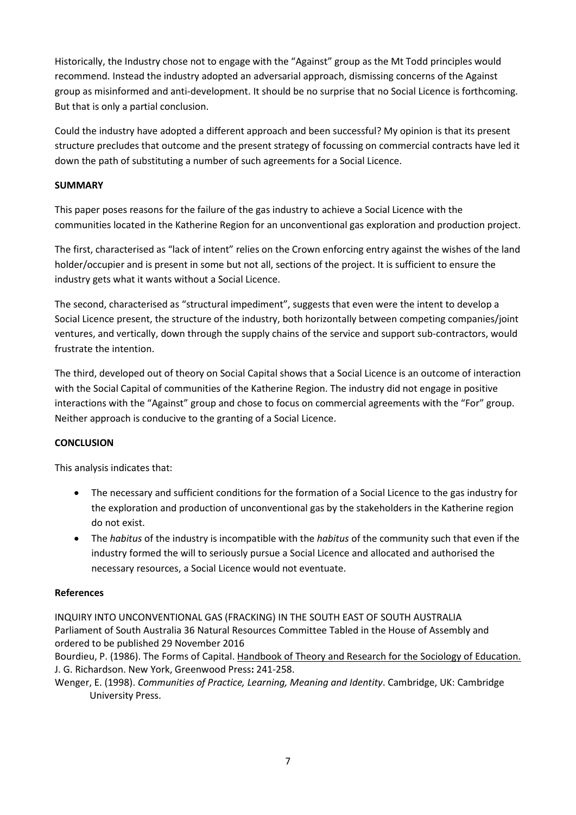Historically, the Industry chose not to engage with the "Against" group as the Mt Todd principles would recommend. Instead the industry adopted an adversarial approach, dismissing concerns of the Against group as misinformed and anti-development. It should be no surprise that no Social Licence is forthcoming. But that is only a partial conclusion.

Could the industry have adopted a different approach and been successful? My opinion is that its present structure precludes that outcome and the present strategy of focussing on commercial contracts have led it down the path of substituting a number of such agreements for a Social Licence.

#### **SUMMARY**

This paper poses reasons for the failure of the gas industry to achieve a Social Licence with the communities located in the Katherine Region for an unconventional gas exploration and production project.

The first, characterised as "lack of intent" relies on the Crown enforcing entry against the wishes of the land holder/occupier and is present in some but not all, sections of the project. It is sufficient to ensure the industry gets what it wants without a Social Licence.

The second, characterised as "structural impediment", suggests that even were the intent to develop a Social Licence present, the structure of the industry, both horizontally between competing companies/joint ventures, and vertically, down through the supply chains of the service and support sub-contractors, would frustrate the intention.

The third, developed out of theory on Social Capital shows that a Social Licence is an outcome of interaction with the Social Capital of communities of the Katherine Region. The industry did not engage in positive interactions with the "Against" group and chose to focus on commercial agreements with the "For" group. Neither approach is conducive to the granting of a Social Licence.

# **CONCLUSION**

This analysis indicates that:

- The necessary and sufficient conditions for the formation of a Social Licence to the gas industry for the exploration and production of unconventional gas by the stakeholders in the Katherine region do not exist.
- The *habitus* of the industry is incompatible with the *habitus* of the community such that even if the industry formed the will to seriously pursue a Social Licence and allocated and authorised the necessary resources, a Social Licence would not eventuate.

#### **References**

INQUIRY INTO UNCONVENTIONAL GAS (FRACKING) IN THE SOUTH EAST OF SOUTH AUSTRALIA Parliament of South Australia 36 Natural Resources Committee Tabled in the House of Assembly and ordered to be published 29 November 2016

Bourdieu, P. (1986). The Forms of Capital. Handbook of Theory and Research for the Sociology of Education. J. G. Richardson. New York, Greenwood Press**:** 241-258.

Wenger, E. (1998). *Communities of Practice, Learning, Meaning and Identity*. Cambridge, UK: Cambridge University Press.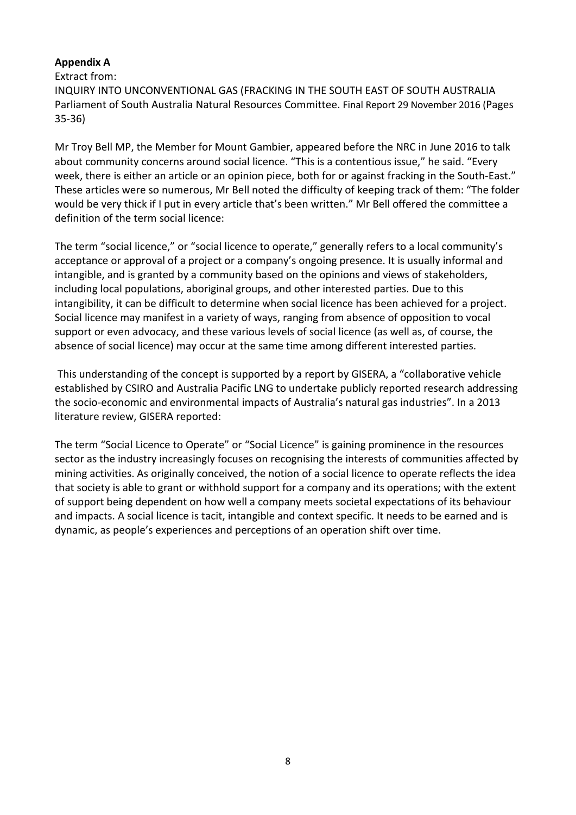# **Appendix A**

Extract from:

INQUIRY INTO UNCONVENTIONAL GAS (FRACKING IN THE SOUTH EAST OF SOUTH AUSTRALIA Parliament of South Australia Natural Resources Committee. Final Report 29 November 2016 (Pages 35-36)

Mr Troy Bell MP, the Member for Mount Gambier, appeared before the NRC in June 2016 to talk about community concerns around social licence. "This is a contentious issue," he said. "Every week, there is either an article or an opinion piece, both for or against fracking in the South-East." These articles were so numerous, Mr Bell noted the difficulty of keeping track of them: "The folder would be very thick if I put in every article that's been written." Mr Bell offered the committee a definition of the term social licence:

The term "social licence," or "social licence to operate," generally refers to a local community's acceptance or approval of a project or a company's ongoing presence. It is usually informal and intangible, and is granted by a community based on the opinions and views of stakeholders, including local populations, aboriginal groups, and other interested parties. Due to this intangibility, it can be difficult to determine when social licence has been achieved for a project. Social licence may manifest in a variety of ways, ranging from absence of opposition to vocal support or even advocacy, and these various levels of social licence (as well as, of course, the absence of social licence) may occur at the same time among different interested parties.

This understanding of the concept is supported by a report by GISERA, a "collaborative vehicle established by CSIRO and Australia Pacific LNG to undertake publicly reported research addressing the socio-economic and environmental impacts of Australia's natural gas industries". In a 2013 literature review, GISERA reported:

The term "Social Licence to Operate" or "Social Licence" is gaining prominence in the resources sector as the industry increasingly focuses on recognising the interests of communities affected by mining activities. As originally conceived, the notion of a social licence to operate reflects the idea that society is able to grant or withhold support for a company and its operations; with the extent of support being dependent on how well a company meets societal expectations of its behaviour and impacts. A social licence is tacit, intangible and context specific. It needs to be earned and is dynamic, as people's experiences and perceptions of an operation shift over time.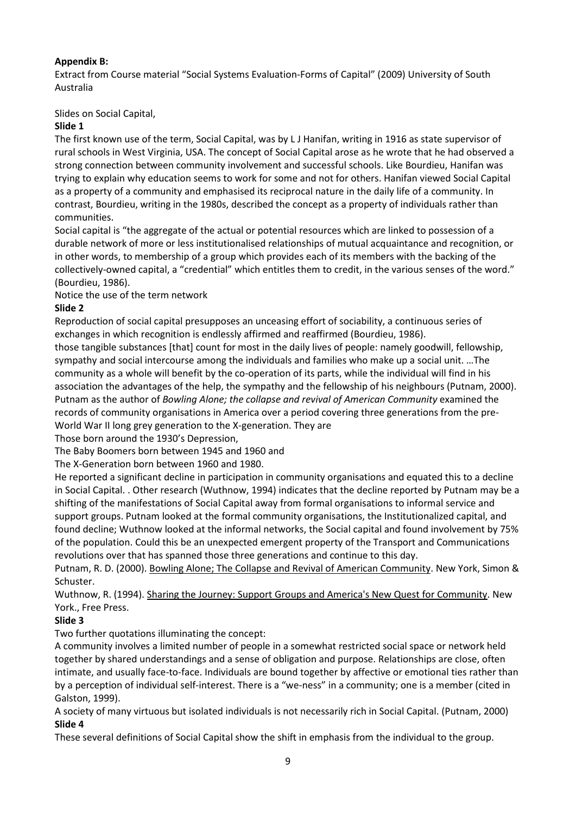## **Appendix B:**

Extract from Course material "Social Systems Evaluation-Forms of Capital" (2009) University of South Australia

Slides on Social Capital,

## **Slide 1**

The first known use of the term, Social Capital, was by L J Hanifan, writing in 1916 as state supervisor of rural schools in West Virginia, USA. The concept of Social Capital arose as he wrote that he had observed a strong connection between community involvement and successful schools. Like Bourdieu, Hanifan was trying to explain why education seems to work for some and not for others. Hanifan viewed Social Capital as a property of a community and emphasised its reciprocal nature in the daily life of a community. In contrast, Bourdieu, writing in the 1980s, described the concept as a property of individuals rather than communities.

Social capital is "the aggregate of the actual or potential resources which are linked to possession of a durable network of more or less institutionalised relationships of mutual acquaintance and recognition, or in other words, to membership of a group which provides each of its members with the backing of the collectively-owned capital, a "credential" which entitles them to credit, in the various senses of the word." (Bourdieu, 1986).

Notice the use of the term network

## **Slide 2**

Reproduction of social capital presupposes an unceasing effort of sociability, a continuous series of exchanges in which recognition is endlessly affirmed and reaffirmed (Bourdieu, 1986).

those tangible substances [that] count for most in the daily lives of people: namely goodwill, fellowship, sympathy and social intercourse among the individuals and families who make up a social unit. …The community as a whole will benefit by the co-operation of its parts, while the individual will find in his association the advantages of the help, the sympathy and the fellowship of his neighbours (Putnam, 2000). Putnam as the author of *Bowling Alone; the collapse and revival of American Community* examined the records of community organisations in America over a period covering three generations from the pre-World War II long grey generation to the X-generation. They are

Those born around the 1930's Depression,

The Baby Boomers born between 1945 and 1960 and

The X-Generation born between 1960 and 1980.

He reported a significant decline in participation in community organisations and equated this to a decline in Social Capital. . Other research (Wuthnow, 1994) indicates that the decline reported by Putnam may be a shifting of the manifestations of Social Capital away from formal organisations to informal service and support groups. Putnam looked at the formal community organisations, the Institutionalized capital, and found decline; Wuthnow looked at the informal networks, the Social capital and found involvement by 75% of the population. Could this be an unexpected emergent property of the Transport and Communications revolutions over that has spanned those three generations and continue to this day.

Putnam, R. D. (2000). Bowling Alone; The Collapse and Revival of American Community. New York, Simon & Schuster.

Wuthnow, R. (1994). Sharing the Journey: Support Groups and America's New Quest for Community. New York., Free Press.

# **Slide 3**

Two further quotations illuminating the concept:

A community involves a limited number of people in a somewhat restricted social space or network held together by shared understandings and a sense of obligation and purpose. Relationships are close, often intimate, and usually face-to-face. Individuals are bound together by affective or emotional ties rather than by a perception of individual self-interest. There is a "we-ness" in a community; one is a member (cited in Galston, 1999).

A society of many virtuous but isolated individuals is not necessarily rich in Social Capital. (Putnam, 2000) **Slide 4**

These several definitions of Social Capital show the shift in emphasis from the individual to the group.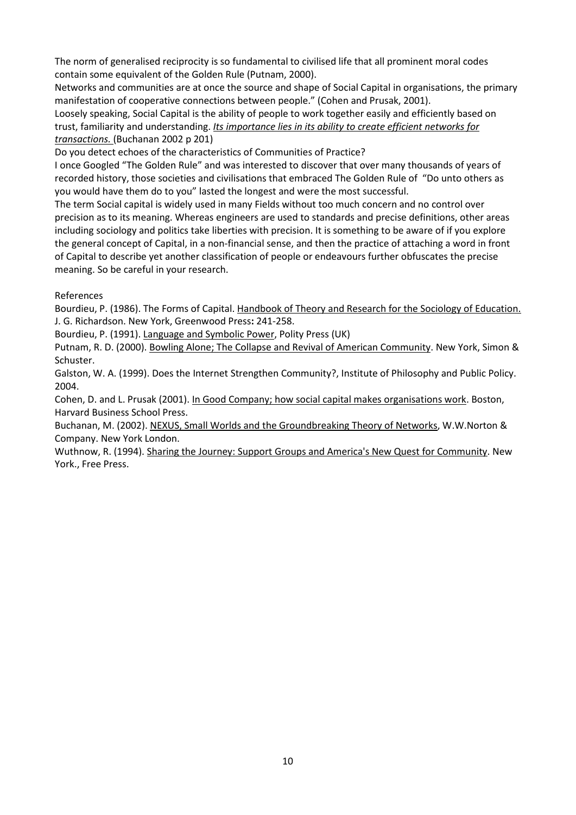The norm of generalised reciprocity is so fundamental to civilised life that all prominent moral codes contain some equivalent of the Golden Rule (Putnam, 2000).

Networks and communities are at once the source and shape of Social Capital in organisations, the primary manifestation of cooperative connections between people." (Cohen and Prusak, 2001).

Loosely speaking, Social Capital is the ability of people to work together easily and efficiently based on trust, familiarity and understanding. *Its importance lies in its ability to create efficient networks for transactions.* (Buchanan 2002 p 201)

Do you detect echoes of the characteristics of Communities of Practice?

I once Googled "The Golden Rule" and was interested to discover that over many thousands of years of recorded history, those societies and civilisations that embraced The Golden Rule of "Do unto others as you would have them do to you" lasted the longest and were the most successful.

The term Social capital is widely used in many Fields without too much concern and no control over precision as to its meaning. Whereas engineers are used to standards and precise definitions, other areas including sociology and politics take liberties with precision. It is something to be aware of if you explore the general concept of Capital, in a non-financial sense, and then the practice of attaching a word in front of Capital to describe yet another classification of people or endeavours further obfuscates the precise meaning. So be careful in your research.

#### References

Bourdieu, P. (1986). The Forms of Capital. Handbook of Theory and Research for the Sociology of Education. J. G. Richardson. New York, Greenwood Press**:** 241-258.

Bourdieu, P. (1991). Language and Symbolic Power, Polity Press (UK)

Putnam, R. D. (2000). Bowling Alone; The Collapse and Revival of American Community. New York, Simon & Schuster.

Galston, W. A. (1999). Does the Internet Strengthen Community?, Institute of Philosophy and Public Policy. 2004.

Cohen, D. and L. Prusak (2001). In Good Company; how social capital makes organisations work. Boston, Harvard Business School Press.

Buchanan, M. (2002). NEXUS, Small Worlds and the Groundbreaking Theory of Networks, W.W.Norton & Company. New York London.

Wuthnow, R. (1994). Sharing the Journey: Support Groups and America's New Quest for Community. New York., Free Press.